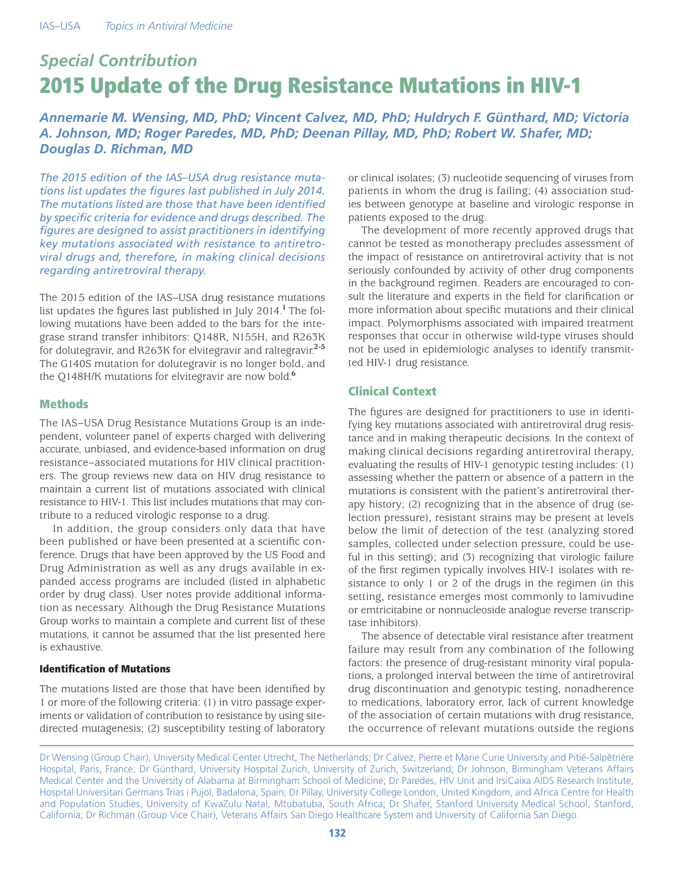# *Special Contribution* 2015 Update of the Drug Resistance Mutations in HIV-1

*Annemarie M. Wensing, MD, PhD; Vincent Calvez, MD, PhD; Huldrych F. Günthard, MD; Victoria A. Johnson, MD; Roger Paredes, MD, PhD; Deenan Pillay, MD, PhD; Robert W. Shafer, MD; Douglas D. Richman, MD*

*The 2015 edition of the IAS–USA drug resistance mutations list updates the figures last published in July 2014. The mutations listed are those that have been identified by specific criteria for evidence and drugs described. The figures are designed to assist practitioners in identifying key mutations associated with resistance to antiretroviral drugs and, therefore, in making clinical decisions regarding antiretroviral therapy.*

The 2015 edition of the IAS–USA drug resistance mutations list updates the figures last published in July 2014.**<sup>1</sup>**The following mutations have been added to the bars for the integrase strand transfer inhibitors: Q148R, N155H, and R263K for dolutegravir, and R263K for elvitegravir and raltegravir.**2-5** The G140S mutation for dolutegravir is no longer bold, and the Q148H/K mutations for elvitegravir are now bold.**<sup>6</sup>**

# **Methods**

The IAS–USA Drug Resistance Mutations Group is an independent, volunteer panel of experts charged with delivering accurate, unbiased, and evidence-based information on drug resistance–associated mutations for HIV clinical practitioners. The group reviews new data on HIV drug resistance to maintain a current list of mutations associated with clinical resistance to HIV-1. This list includes mutations that may contribute to a reduced virologic response to a drug.

In addition, the group considers only data that have been published or have been presented at a scientific conference. Drugs that have been approved by the US Food and Drug Administration as well as any drugs available in expanded access programs are included (listed in alphabetic order by drug class). User notes provide additional information as necessary. Although the Drug Resistance Mutations Group works to maintain a complete and current list of these mutations, it cannot be assumed that the list presented here is exhaustive.

# Identification of Mutations

The mutations listed are those that have been identified by 1 or more of the following criteria: (1) in vitro passage experiments or validation of contribution to resistance by using sitedirected mutagenesis; (2) susceptibility testing of laboratory or clinical isolates; (3) nucleotide sequencing of viruses from patients in whom the drug is failing; (4) association studies between genotype at baseline and virologic response in patients exposed to the drug.

The development of more recently approved drugs that cannot be tested as monotherapy precludes assessment of the impact of resistance on antiretroviral activity that is not seriously confounded by activity of other drug components in the background regimen. Readers are encouraged to consult the literature and experts in the field for clarification or more information about specific mutations and their clinical impact. Polymorphisms associated with impaired treatment responses that occur in otherwise wild-type viruses should not be used in epidemiologic analyses to identify transmitted HIV-1 drug resistance.

# Clinical Context

The figures are designed for practitioners to use in identifying key mutations associated with antiretroviral drug resistance and in making therapeutic decisions. In the context of making clinical decisions regarding antiretroviral therapy, evaluating the results of HIV-1 genotypic testing includes: (1) assessing whether the pattern or absence of a pattern in the mutations is consistent with the patient's antiretroviral therapy history; (2) recognizing that in the absence of drug (selection pressure), resistant strains may be present at levels below the limit of detection of the test (analyzing stored samples, collected under selection pressure, could be useful in this setting); and (3) recognizing that virologic failure of the first regimen typically involves HIV-1 isolates with resistance to only 1 or 2 of the drugs in the regimen (in this setting, resistance emerges most commonly to lamivudine or emtricitabine or nonnucleoside analogue reverse transcriptase inhibitors).

The absence of detectable viral resistance after treatment failure may result from any combination of the following factors: the presence of drug-resistant minority viral populations, a prolonged interval between the time of antiretroviral drug discontinuation and genotypic testing, nonadherence to medications, laboratory error, lack of current knowledge of the association of certain mutations with drug resistance, the occurrence of relevant mutations outside the regions

Dr Wensing (Group Chair), University Medical Center Utrecht, The Netherlands; Dr Calvez, Pierre et Marie Curie University and Pitié-Salpêtrière Hospital, Paris, France; Dr Günthard, University Hospital Zurich, University of Zurich, Switzerland; Dr Johnson, Birmingham Veterans Affairs Medical Center and the University of Alabama at Birmingham School of Medicine; Dr Paredes, HIV Unit and IrsiCaixa AIDS Research Institute, Hospital Universitari Germans Trias i Pujol, Badalona, Spain; Dr Pillay, University College London, United Kingdom, and Africa Centre for Health and Population Studies, University of KwaZulu Natal, Mtubatuba, South Africa; Dr Shafer, Stanford University Medical School, Stanford, California; Dr Richman (Group Vice Chair), Veterans Affairs San Diego Healthcare System and University of California San Diego.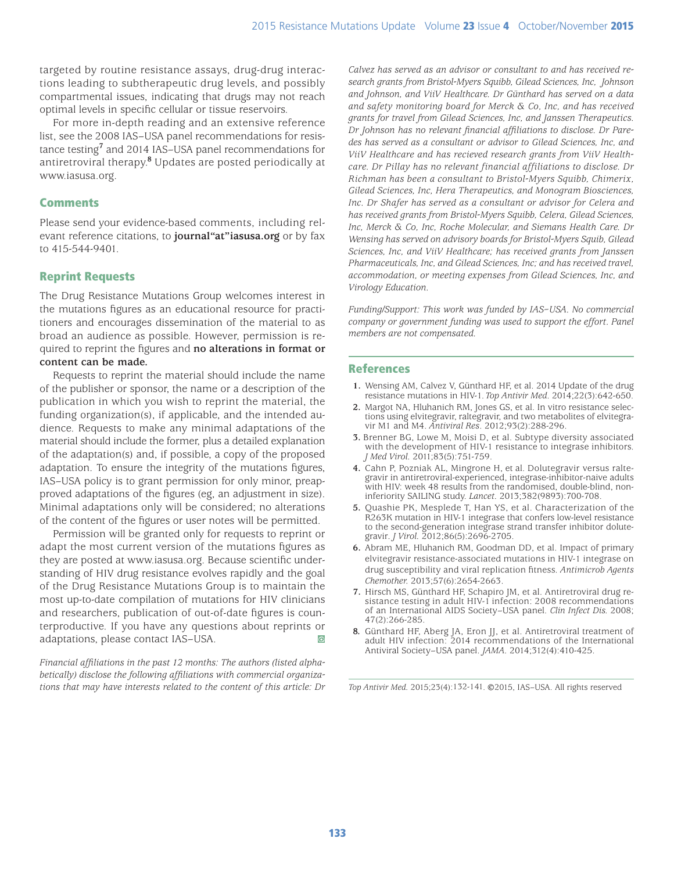targeted by routine resistance assays, drug-drug interactions leading to subtherapeutic drug levels, and possibly compartmental issues, indicating that drugs may not reach optimal levels in specific cellular or tissue reservoirs.

For more in-depth reading and an extensive reference list, see the 2008 IAS–USA panel recommendations for resistance testing**<sup>7</sup>** and 2014 IAS–USA panel recommendations for antiretroviral therapy.**<sup>8</sup>** Updates are posted periodically at www.iasusa.org.

# **Comments**

Please send your evidence-based comments, including relevant reference citations, to **journal"at"iasusa.org** or by fax to 415-544-9401.

# Reprint Requests

The Drug Resistance Mutations Group welcomes interest in the mutations figures as an educational resource for practitioners and encourages dissemination of the material to as broad an audience as possible. However, permission is required to reprint the figures and **no alterations in format or content can be made.**

Requests to reprint the material should include the name of the publisher or sponsor, the name or a description of the publication in which you wish to reprint the material, the funding organization(s), if applicable, and the intended audience. Requests to make any minimal adaptations of the material should include the former, plus a detailed explanation of the adaptation(s) and, if possible, a copy of the proposed adaptation. To ensure the integrity of the mutations figures, IAS–USA policy is to grant permission for only minor, preapproved adaptations of the figures (eg, an adjustment in size). Minimal adaptations only will be considered; no alterations of the content of the figures or user notes will be permitted.

Permission will be granted only for requests to reprint or adapt the most current version of the mutations figures as they are posted at www.iasusa.org. Because scientific understanding of HIV drug resistance evolves rapidly and the goal of the Drug Resistance Mutations Group is to maintain the most up-to-date compilation of mutations for HIV clinicians and researchers, publication of out-of-date figures is counterproductive. If you have any questions about reprints or adaptations, please contact IAS–USA.

*Financial affiliations in the past 12 months: The authors (listed alphabetically) disclose the following affiliations with commercial organizations that may have interests related to the content of this article: Dr*  *Calvez has served as an advisor or consultant to and has received research grants from Bristol-Myers Squibb, Gilead Sciences, Inc, Johnson and Johnson, and ViiV Healthcare. Dr Günthard has served on a data and safety monitoring board for Merck & Co, Inc, and has received grants for travel from Gilead Sciences, Inc, and Janssen Therapeutics. Dr Johnson has no relevant financial affiliations to disclose. Dr Paredes has served as a consultant or advisor to Gilead Sciences, Inc, and ViiV Healthcare and has recieved research grants from ViiV Healthcare. Dr Pillay has no relevant financial affiliations to disclose. Dr Richman has been a consultant to Bristol-Myers Squibb, Chimerix, Gilead Sciences, Inc, Hera Therapeutics, and Monogram Biosciences, Inc. Dr Shafer has served as a consultant or advisor for Celera and has received grants from Bristol-Myers Squibb, Celera, Gilead Sciences, Inc, Merck & Co, Inc, Roche Molecular, and Siemans Health Care. Dr Wensing has served on advisory boards for Bristol-Myers Squib, Gilead Sciences, Inc, and ViiV Healthcare; has received grants from Janssen Pharmaceuticals, Inc, and Gilead Sciences, Inc; and has received travel, accommodation, or meeting expenses from Gilead Sciences, Inc, and Virology Education.*

*Funding/Support: This work was funded by IAS–USA. No commercial company or government funding was used to support the effort. Panel members are not compensated.*

# References

- **1.** Wensing AM, Calvez V, Günthard HF, et al. 2014 Update of the drug resistance mutations in HIV-1. *Top Antivir Med*. 2014;22(3):642-650.
- **2.** Margot NA, Hluhanich RM, Jones GS, et al. In vitro resistance selections using elvitegravir, raltegravir, and two metabolites of elvitegravir M1 and M4. *Antiviral Res*. 2012;93(2):288-296.
- **3.** Brenner BG, Lowe M, Moisi D, et al. Subtype diversity associated with the development of HIV-1 resistance to integrase inhibitors. *J Med Virol.* 2011;83(5):751-759.
- **4.** Cahn P, Pozniak AL, Mingrone H, et al. Dolutegravir versus raltegravir in antiretroviral-experienced, integrase-inhibitor-naive adults with HIV: week 48 results from the randomised, double-blind, noninferiority SAILING study. *Lancet.* 2013;382(9893):700-708.
- **5.** Quashie PK, Mesplede T, Han YS, et al. Characterization of the R263K mutation in HIV-1 integrase that confers low-level resistance to the second-generation integrase strand transfer inhibitor dolutegravir*. J Virol.* 2012;86(5):2696-2705.
- **6.** Abram ME, Hluhanich RM, Goodman DD, et al. Impact of primary elvitegravir resistance-associated mutations in HIV-1 integrase on drug susceptibility and viral replication fitness. *Antimicrob Agents Chemother.* 2013;57(6):2654-2663.
- **7.** Hirsch MS, Günthard HF, Schapiro JM, et al. Antiretroviral drug resistance testing in adult HIV-1 infection: 2008 recommendations of an International AIDS Society–USA panel. *Clin Infect Dis.* 2008; 47(2):266-285.
- **8.** Günthard HF, Aberg JA, Eron JJ, et al. Antiretroviral treatment of adult HIV infection: 2014 recommendations of the International Antiviral Society–USA panel. *JAMA.* 2014;312(4):410-425.

*Top Antivir Med.* 2015;23(4):132-141. ©2015, IAS–USA. All rights reserved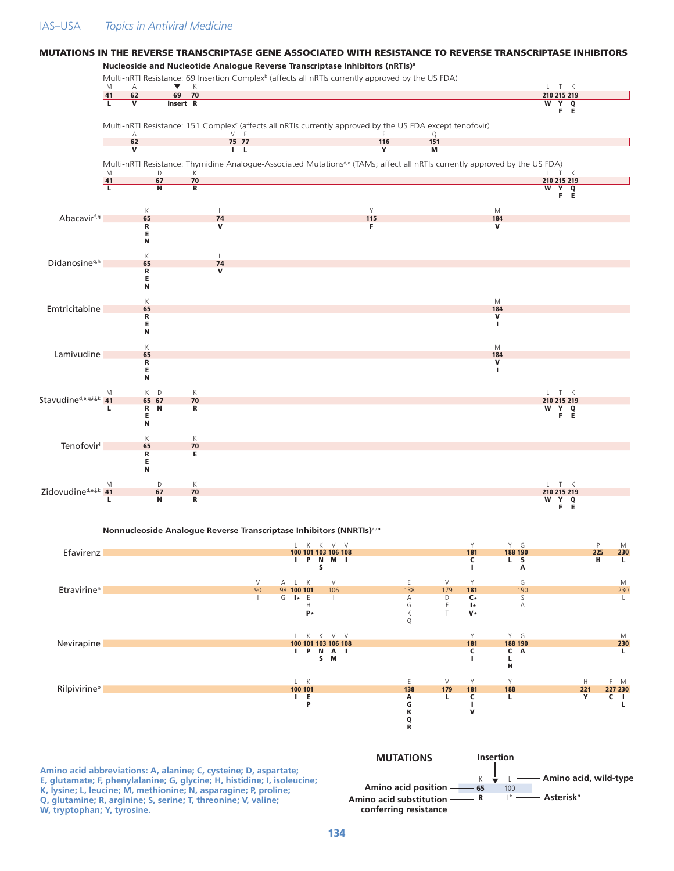## IAS–USA *Topics in Antiviral Medicine*

#### **Nucleoside and Nucleotide Analogue Reverse Transcriptase Inhibitors (nRTIs)a** Multi-nRTI Resistance: 69 Insertion Complex<sup>b</sup> (affects all nRTIs currently approved by the US FDA) M A  $\blacktriangledown$  K  $\blacktriangledown$  K 41 62 69 70 210 215 219 L V Insert R W Y Q Y Q<br>F E Multi-nRTI Resistance: 151 Complex<sup>c</sup> (affects all nRTIs currently approved by the US FDA except tenofovir) A Second V F G  $\sim$  T F Q **62 75 77 116 151** V I L Y M Multi-nRTI Resistance: Thymidine Analogue-Associated Mutationsd,e (TAMs; affect all nRTIs currently approved by the US FDA) M D K L T K 41 67 70 211 212 213 214 215 217 218 219 210 215 219 210 211 212 213 214 215 216 L N R W Y Q Y Q<br>F E K L L NY Y M Abacavirf,g 65 74 115 184 R V F V E N K L Didanosine<sup>g,h</sup> 65 74<br>R V R V R<br>E N K MARINE SERVICE STRUCK STRUCK STRUCK STRUCK STRUCK STRUCK STRUCK STRUCK STRUCK STRUCK STRUCK STRUCK STRUCK ST Emtricitabine 65 184<br>
R<br>
E R **R** SALL CONTROL CONTROL CONTROL CONTROL CONTROL CONTROL CONTROL CONTROL CONTROL CONTROL CONTROL CONTROL CONTROL CONTROL CONTROL CONTROL CONTROL CONTROL CONTROL CONTROL CONTROL CONTROL CONTROL CONTROL CONTROL CONTROL CON E Andreas and the second contract of the second contract of the second contract of the second contract of the s N K M Lamivudine 65 65 184 September 184 September 184 September 184 September 184 September 184 September 184 Septe R **R** SALL CONTROL CONTROL CONTROL CONTROL CONTROL CONTROL CONTROL CONTROL CONTROL CONTROL CONTROL CONTROL CONTROL CONTROL CONTROL CONTROL CONTROL CONTROL CONTROL CONTROL CONTROL CONTROL CONTROL CONTROL CONTROL CONTROL CON E Andreas and the second contract of the second contract of the second contract of the second contract of the E<br>N M K D K L T K Stavudine<sup>d,e,g,i,j,k</sup> 41 65 67 70 210 215 219<br>L R N R<br>E F E L R N R W Y Q E TERM IN THE EXPLORATION OF THE EXPLORATION OF THE EXPLORATION OF THE EXPLORATION OF THE EXPLORATION OF THE E N K K Tenofovir<sup>l</sup> 65 70 R E E N M D K L T K  $Zidovudine<sup>d,e,j,k</sup>$   $\begin{array}{ccc} \mathbb{M} & \mathbb{D} & \mathbb{K} & \mathbb{L} & \mathbb{T} & \mathbb{K} \\ \mathbf{A} & \mathbf{A} & \mathbf{B} & \mathbf{B} & \mathbf{C} & \mathbf{A} \\ \mathbf{A} & \mathbf{B} & \mathbf{B} & \mathbf{C} & \mathbf{A} \end{array}$ L N R W Y Q Y Q<br>F F **Nonnucleoside Analogue Reverse Transcriptase Inhibitors (NNRTIs)a,m** ال المساطان التي تجار المساطان المساطان التي تجار المساطان التي تجار المساطان التي تجار التي تجار التي تجار ال<br><mark>230 ـ 225 ـ 230 ـ 181 ـ 181 ـ 188 190 ـ 100 101 103 106 108</mark> ـ 100 1<mark>01 103 106 108</mark> ـ 189 ـ 189 190 ـ 225 I P N M I C L S H **L** S I A

MUTATIONS IN THE REVERSE TRANSCRIPTASE GENE ASSOCIATED WITH RESISTANCE TO REVERSE TRANSCRIPTASE INHIBITORS

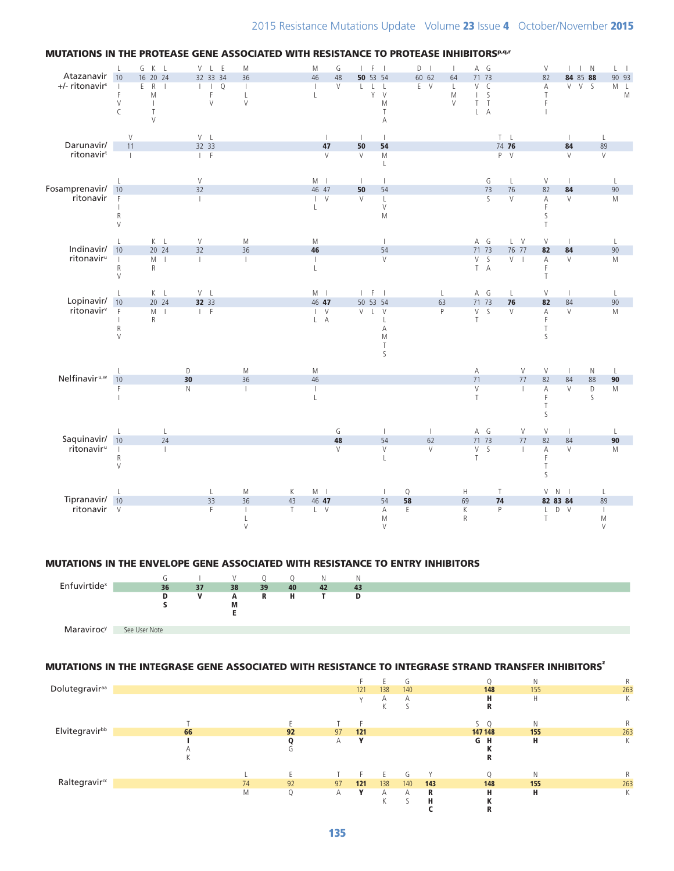

### MUTATIONS IN THE PROTEASE GENE ASSOCIATED WITH RESISTANCE TO PROTEASE INHIBITORSPAPT

#### MUTATIONS IN THE ENVELOPE GENE ASSOCIATED WITH RESISTANCE TO ENTRY INHIBITORS



## MUTATIONS IN THE INTEGRASE GENE ASSOCIATED WITH RESISTANCE TO INTEGRASE STRAND TRANSFER INHIBITORS'

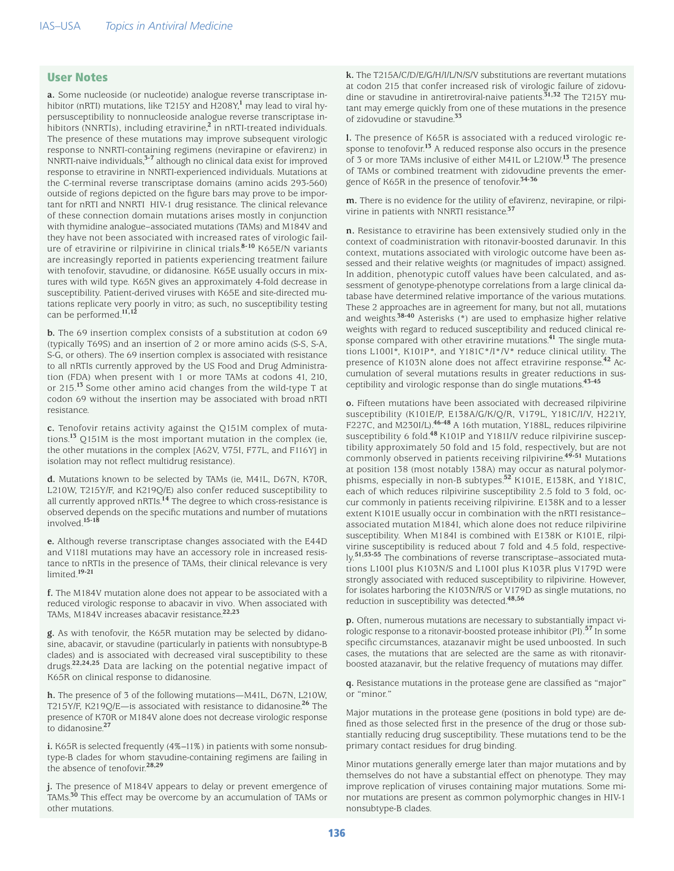# User Notes

**a.** Some nucleoside (or nucleotide) analogue reverse transcriptase inhibitor (nRTI) mutations, like T215Y and H208Y,**<sup>1</sup>** may lead to viral hypersusceptibility to nonnucleoside analogue reverse transcriptase inhibitors (NNRTIs), including etravirine,**2** in nRTI-treated individuals. The presence of these mutations may improve subsequent virologic response to NNRTI-containing regimens (nevirapine or efavirenz) in NNRTI-naive individuals,**3-7** although no clinical data exist for improved response to etravirine in NNRTI-experienced individuals. Mutations at the C-terminal reverse transcriptase domains (amino acids 293-560) outside of regions depicted on the figure bars may prove to be important for nRTI and NNRTI HIV-1 drug resistance. The clinical relevance of these connection domain mutations arises mostly in conjunction with thymidine analogue–associated mutations (TAMs) and M184V and they have not been associated with increased rates of virologic failure of etravirine or rilpivirine in clinical trials.**8-10** K65E/N variants are increasingly reported in patients experiencing treatment failure with tenofovir, stavudine, or didanosine. K65E usually occurs in mixtures with wild type. K65N gives an approximately 4-fold decrease in susceptibility. Patient-derived viruses with K65E and site-directed mutations replicate very poorly in vitro; as such, no susceptibility testing can be performed.**11,12** 

**b.** The 69 insertion complex consists of a substitution at codon 69 (typically T69S) and an insertion of 2 or more amino acids (S-S, S-A, S-G, or others). The 69 insertion complex is associated with resistance to all nRTIs currently approved by the US Food and Drug Administration (FDA) when present with 1 or more TAMs at codons 41, 210, or 215.**13** Some other amino acid changes from the wild-type T at codon 69 without the insertion may be associated with broad nRTI resistance.

**c.** Tenofovir retains activity against the Q151M complex of mutations.**13** Q151M is the most important mutation in the complex (ie, the other mutations in the complex [A62V, V75I, F77L, and F116Y] in isolation may not reflect multidrug resistance).

**d.** Mutations known to be selected by TAMs (ie, M41L, D67N, K70R, L210W, T215Y/F, and K219Q/E) also confer reduced susceptibility to all currently approved nRTIs.**14** The degree to which cross-resistance is observed depends on the specific mutations and number of mutations involved.**15-18**

**e.** Although reverse transcriptase changes associated with the E44D and V118I mutations may have an accessory role in increased resistance to nRTIs in the presence of TAMs, their clinical relevance is very limited.**19-21**

**f.** The M184V mutation alone does not appear to be associated with a reduced virologic response to abacavir in vivo. When associated with TAMs, M184V increases abacavir resistance.**22,23**

**g.** As with tenofovir, the K65R mutation may be selected by didanosine, abacavir, or stavudine (particularly in patients with nonsubtype-B clades) and is associated with decreased viral susceptibility to these drugs.**22,24,25** Data are lacking on the potential negative impact of K65R on clinical response to didanosine.

**h.** The presence of 3 of the following mutations—M41L, D67N, L210W, T215Y/F, K219Q/E—is associated with resistance to didanosine.**26** The presence of K70R or M184V alone does not decrease virologic response to didanosine.**<sup>27</sup>**

**i.** K65R is selected frequently (4%−11%) in patients with some nonsubtype-B clades for whom stavudine-containing regimens are failing in the absence of tenofovir.**28,29**

**j.** The presence of M184V appears to delay or prevent emergence of TAMs.**30** This effect may be overcome by an accumulation of TAMs or other mutations.

**k.** The T215A/C/D/E/G/H/I/L/N/S/V substitutions are revertant mutations at codon 215 that confer increased risk of virologic failure of zidovudine or stavudine in antiretroviral-naive patients.**31,32** The T215Y mutant may emerge quickly from one of these mutations in the presence of zidovudine or stavudine.**<sup>33</sup>**

**l.** The presence of K65R is associated with a reduced virologic response to tenofovir.<sup>13</sup> A reduced response also occurs in the presence of 3 or more TAMs inclusive of either M41L or L210W.**13** The presence of TAMs or combined treatment with zidovudine prevents the emergence of K65R in the presence of tenofovir.**34-36**

**m.** There is no evidence for the utility of efavirenz, nevirapine, or rilpivirine in patients with NNRTI resistance.**<sup>37</sup>**

**n.** Resistance to etravirine has been extensively studied only in the context of coadministration with ritonavir-boosted darunavir. In this context, mutations associated with virologic outcome have been assessed and their relative weights (or magnitudes of impact) assigned. In addition, phenotypic cutoff values have been calculated, and assessment of genotype-phenotype correlations from a large clinical database have determined relative importance of the various mutations. These 2 approaches are in agreement for many, but not all, mutations and weights.**38-40** Asterisks (\*) are used to emphasize higher relative weights with regard to reduced susceptibility and reduced clinical response compared with other etravirine mutations.**41** The single mutations L100I\*, K101P\*, and Y181C\*/I\*/V\* reduce clinical utility. The presence of K103N alone does not affect etravirine response.**42** Accumulation of several mutations results in greater reductions in susceptibility and virologic response than do single mutations.**43-45**

**o.** Fifteen mutations have been associated with decreased rilpivirine susceptibility (K101E/P, E138A/G/K/Q/R, V179L, Y181C/I/V, H221Y, F227C, and M230I/L).**46-48** A 16th mutation, Y188L, reduces rilpivirine susceptibility 6 fold.**48** K101P and Y181I/V reduce rilpivirine susceptibility approximately 50 fold and 15 fold, respectively, but are not commonly observed in patients receiving rilpivirine.**49-51** Mutations at position 138 (most notably 138A) may occur as natural polymorphisms, especially in non-B subtypes.**52** K101E, E138K, and Y181C, each of which reduces rilpivirine susceptibility 2.5 fold to 3 fold, occur commonly in patients receiving rilpivirine. E138K and to a lesser extent K101E usually occur in combination with the nRTI resistance– associated mutation M184I, which alone does not reduce rilpivirine susceptibility. When M184I is combined with E138K or K101E, rilpivirine susceptibility is reduced about 7 fold and 4.5 fold, respectively.**51,53-55** The combinations of reverse transcriptase–associated mutations L100I plus K103N/S and L100I plus K103R plus V179D were strongly associated with reduced susceptibility to rilpivirine. However, for isolates harboring the K103N/R/S or V179D as single mutations, no reduction in susceptibility was detected.**48,56**

**p.** Often, numerous mutations are necessary to substantially impact virologic response to a ritonavir-boosted protease inhibitor (PI).**57** In some specific circumstances, atazanavir might be used unboosted. In such cases, the mutations that are selected are the same as with ritonavirboosted atazanavir, but the relative frequency of mutations may differ.

**q.** Resistance mutations in the protease gene are classified as "major" or "minor."

Major mutations in the protease gene (positions in bold type) are defined as those selected first in the presence of the drug or those substantially reducing drug susceptibility. These mutations tend to be the primary contact residues for drug binding.

Minor mutations generally emerge later than major mutations and by themselves do not have a substantial effect on phenotype. They may improve replication of viruses containing major mutations. Some minor mutations are present as common polymorphic changes in HIV-1 nonsubtype-B clades.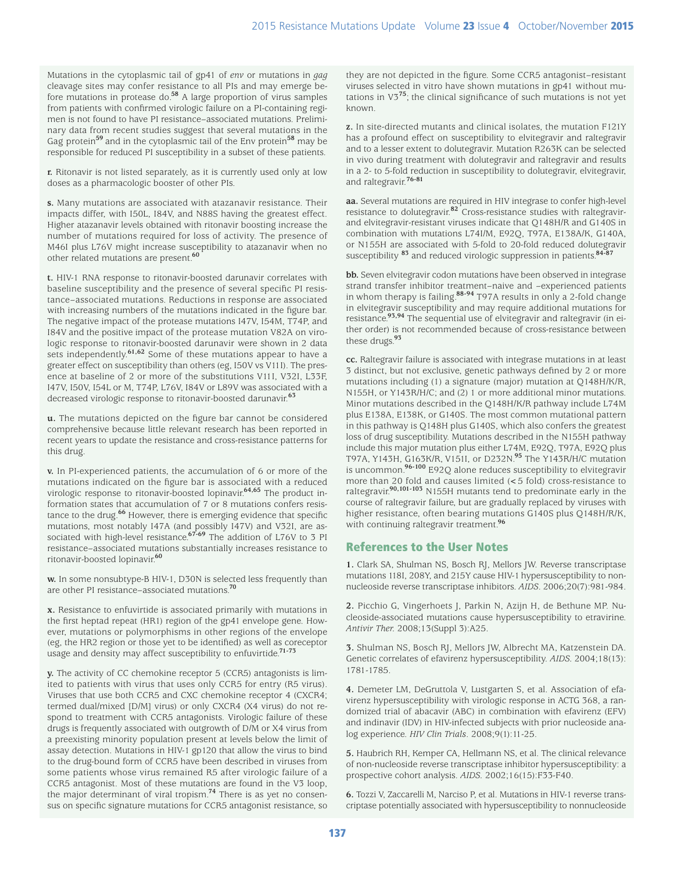Mutations in the cytoplasmic tail of gp41 of *env* or mutations in *gag* cleavage sites may confer resistance to all PIs and may emerge before mutations in protease do.**58** A large proportion of virus samples from patients with confirmed virologic failure on a PI-containing regimen is not found to have PI resistance–associated mutations. Preliminary data from recent studies suggest that several mutations in the Gag protein**59** and in the cytoplasmic tail of the Env protein**58** may be responsible for reduced PI susceptibility in a subset of these patients.

**r.** Ritonavir is not listed separately, as it is currently used only at low doses as a pharmacologic booster of other PIs.

**s.** Many mutations are associated with atazanavir resistance. Their impacts differ, with I50L, I84V, and N88S having the greatest effect. Higher atazanavir levels obtained with ritonavir boosting increase the number of mutations required for loss of activity. The presence of M46I plus L76V might increase susceptibility to atazanavir when no other related mutations are present.**<sup>60</sup>**

**t.** HIV-1 RNA response to ritonavir-boosted darunavir correlates with baseline susceptibility and the presence of several specific PI resistance–associated mutations. Reductions in response are associated with increasing numbers of the mutations indicated in the figure bar. The negative impact of the protease mutations I47V, I54M, T74P, and I84V and the positive impact of the protease mutation V82A on virologic response to ritonavir-boosted darunavir were shown in 2 data sets independently.**61,62** Some of these mutations appear to have a greater effect on susceptibility than others (eg, I50V vs V11I). The presence at baseline of 2 or more of the substitutions V11I, V32I, L33F, I47V, I50V, I54L or M, T74P, L76V, I84V or L89V was associated with a decreased virologic response to ritonavir-boosted darunavir.**<sup>63</sup>**

**u.** The mutations depicted on the figure bar cannot be considered comprehensive because little relevant research has been reported in recent years to update the resistance and cross-resistance patterns for this drug.

**v.** In PI-experienced patients, the accumulation of 6 or more of the mutations indicated on the figure bar is associated with a reduced virologic response to ritonavir-boosted lopinavir.**64,65** The product information states that accumulation of 7 or 8 mutations confers resistance to the drug.**66** However, there is emerging evidence that specific mutations, most notably I47A (and possibly I47V) and V32I, are associated with high-level resistance.**67-69** The addition of L76V to 3 PI resistance–associated mutations substantially increases resistance to ritonavir-boosted lopinavir.**<sup>60</sup>**

**w.** In some nonsubtype-B HIV-1, D30N is selected less frequently than are other PI resistance–associated mutations.**<sup>70</sup>**

**x.** Resistance to enfuvirtide is associated primarily with mutations in the first heptad repeat (HR1) region of the gp41 envelope gene. However, mutations or polymorphisms in other regions of the envelope (eg, the HR2 region or those yet to be identified) as well as coreceptor usage and density may affect susceptibility to enfuvirtide.**71-73**

**y.** The activity of CC chemokine receptor 5 (CCR5) antagonists is limited to patients with virus that uses only CCR5 for entry (R5 virus). Viruses that use both CCR5 and CXC chemokine receptor 4 (CXCR4; termed dual/mixed [D/M] virus) or only CXCR4 (X4 virus) do not respond to treatment with CCR5 antagonists. Virologic failure of these drugs is frequently associated with outgrowth of D/M or X4 virus from a preexisting minority population present at levels below the limit of assay detection. Mutations in HIV-1 gp120 that allow the virus to bind to the drug-bound form of CCR5 have been described in viruses from some patients whose virus remained R5 after virologic failure of a CCR5 antagonist. Most of these mutations are found in the V3 loop, the major determinant of viral tropism.**74** There is as yet no consensus on specific signature mutations for CCR5 antagonist resistance, so

they are not depicted in the figure. Some CCR5 antagonist–resistant viruses selected in vitro have shown mutations in gp41 without mutations in V3**75**; the clinical significance of such mutations is not yet known.

**z.** In site-directed mutants and clinical isolates, the mutation F121Y has a profound effect on susceptibility to elvitegravir and raltegravir and to a lesser extent to dolutegravir. Mutation R263K can be selected in vivo during treatment with dolutegravir and raltegravir and results in a 2- to 5-fold reduction in susceptibility to dolutegravir, elvitegravir, and raltegravir.**76-81**

**aa.** Several mutations are required in HIV integrase to confer high-level resistance to dolutegravir.**82** Cross-resistance studies with raltegravirand elvitegravir-resistant viruses indicate that Q148H/R and G140S in combination with mutations L74I/M, E92Q, T97A, E138A/K, G140A, or N155H are associated with 5-fold to 20-fold reduced dolutegravir susceptibility **83** and reduced virologic suppression in patients.**84-87**

**bb.** Seven elvitegravir codon mutations have been observed in integrase strand transfer inhibitor treatment–naive and –experienced patients in whom therapy is failing.**88-94** T97A results in only a 2-fold change in elvitegravir susceptibility and may require additional mutations for resistance.**93,94** The sequential use of elvitegravir and raltegravir (in either order) is not recommended because of cross-resistance between these drugs.**<sup>93</sup>**

**cc.** Raltegravir failure is associated with integrase mutations in at least 3 distinct, but not exclusive, genetic pathways defined by 2 or more mutations including (1) a signature (major) mutation at Q148H/K/R, N155H, or Y143R/H/C; and (2) 1 or more additional minor mutations. Minor mutations described in the Q148H/K/R pathway include L74M plus E138A, E138K, or G140S. The most common mutational pattern in this pathway is Q148H plus G140S, which also confers the greatest loss of drug susceptibility. Mutations described in the N155H pathway include this major mutation plus either L74M, E92Q, T97A, E92Q plus T97A, Y143H, G163K/R, V151I, or D232N.**95** The Y143R/H/C mutation is uncommon.**96-100** E92Q alone reduces susceptibility to elvitegravir more than 20 fold and causes limited (< 5 fold) cross-resistance to raltegravir.**90,101-103** N155H mutants tend to predominate early in the course of raltegravir failure, but are gradually replaced by viruses with higher resistance, often bearing mutations G140S plus Q148H/R/K, with continuing raltegravir treatment.**<sup>96</sup>**

# References to the User Notes

**1.** Clark SA, Shulman NS, Bosch RJ, Mellors JW. Reverse transcriptase mutations 118I, 208Y, and 215Y cause HIV-1 hypersusceptibility to nonnucleoside reverse transcriptase inhibitors. *AIDS*. 2006;20(7):981-984.

2. Picchio G, Vingerhoets J, Parkin N, Azijn H, de Bethune MP. Nucleoside-associated mutations cause hypersusceptibility to etravirine. *Antivir Ther.* 2008;13(Suppl 3):A25.

**3.** Shulman NS, Bosch RJ, Mellors JW, Albrecht MA, Katzenstein DA. Genetic correlates of efavirenz hypersusceptibility. *AIDS.* 2004;18(13): 1781-1785.

**4.** Demeter LM, DeGruttola V, Lustgarten S, et al. Association of efavirenz hypersusceptibility with virologic response in ACTG 368, a randomized trial of abacavir (ABC) in combination with efavirenz (EFV) and indinavir (IDV) in HIV-infected subjects with prior nucleoside analog experience. *HIV Clin Trials*. 2008;9(1):11-25.

**5.** Haubrich RH, Kemper CA, Hellmann NS, et al. The clinical relevance of non-nucleoside reverse transcriptase inhibitor hypersusceptibility: a prospective cohort analysis. *AIDS.* 2002;16(15):F33-F40.

**6.** Tozzi V, Zaccarelli M, Narciso P, et al. Mutations in HIV-1 reverse transcriptase potentially associated with hypersusceptibility to nonnucleoside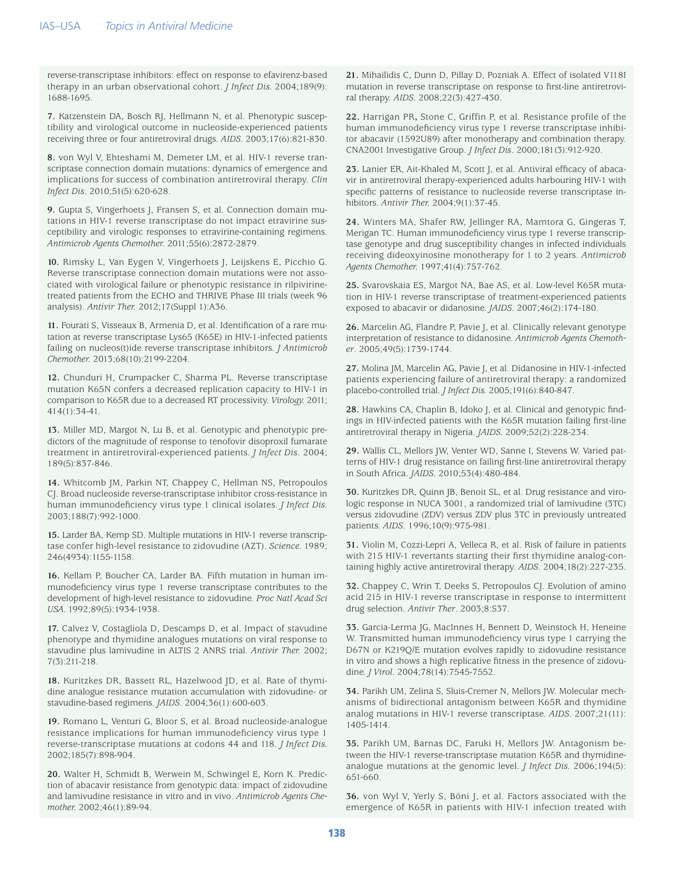reverse-transcriptase inhibitors: effect on response to efavirenz-based therapy in an urban observational cohort. *J Infect Dis.* 2004;189(9): 1688-1695.

**7.** Katzenstein DA, Bosch RJ, Hellmann N, et al. Phenotypic susceptibility and virological outcome in nucleoside-experienced patients receiving three or four antiretroviral drugs. *AIDS*. 2003;17(6):821-830.

**8.** von Wyl V, Ehteshami M, Demeter LM, et al. HIV-1 reverse transcriptase connection domain mutations: dynamics of emergence and implications for success of combination antiretroviral therapy. *Clin Infect Dis*. 2010;51(5):620-628.

**9.** Gupta S, Vingerhoets J, Fransen S, et al. Connection domain mutations in HIV-1 reverse transcriptase do not impact etravirine susceptibility and virologic responses to etravirine-containing regimens. *Antimicrob Agents Chemother.* 2011;55(6):2872-2879.

**10.** Rimsky L, Van Eygen V, Vingerhoets J, Leijskens E, Picchio G. Reverse transcriptase connection domain mutations were not associated with virological failure or phenotypic resistance in rilpivirinetreated patients from the ECHO and THRIVE Phase III trials (week 96 analysis). *Antivir Ther.* 2012;17(Suppl 1):A36.

**11.** Fourati S, Visseaux B, Armenia D, et al. Identification of a rare mutation at reverse transcriptase Lys65 (K65E) in HIV-1-infected patients failing on nucleos(t)ide reverse transcriptase inhibitors. *J Antimicrob Chemother.* 2013;68(10):2199-2204.

**12.** Chunduri H, Crumpacker C, Sharma PL. Reverse transcriptase mutation K65N confers a decreased replication capacity to HIV-1 in comparison to K65R due to a decreased RT processivity. *Virology.* 2011; 414(1):34-41.

**13.** Miller MD, Margot N, Lu B, et al. Genotypic and phenotypic predictors of the magnitude of response to tenofovir disoproxil fumarate treatment in antiretroviral-experienced patients. *J Infect Dis*. 2004; 189(5):837-846.

**14.** Whitcomb JM, Parkin NT, Chappey C, Hellman NS, Petropoulos CJ. Broad nucleoside reverse-transcriptase inhibitor cross-resistance in human immunodeficiency virus type 1 clinical isolates. *J Infect Dis.*  2003;188(7):992-1000.

**15.** Larder BA, Kemp SD. Multiple mutations in HIV-1 reverse transcriptase confer high-level resistance to zidovudine (AZT). *Science.* 1989; 246(4934):1155-1158.

**16.** Kellam P, Boucher CA, Larder BA. Fifth mutation in human immunodeficiency virus type 1 reverse transcriptase contributes to the development of high-level resistance to zidovudine. *Proc Natl Acad Sci USA.* 1992;89(5):1934-1938.

**17.** Calvez V, Costagliola D, Descamps D, et al. Impact of stavudine phenotype and thymidine analogues mutations on viral response to stavudine plus lamivudine in ALTIS 2 ANRS trial. *Antivir Ther.* 2002; 7(3):211-218.

**18.** Kuritzkes DR, Bassett RL, Hazelwood JD, et al. Rate of thymidine analogue resistance mutation accumulation with zidovudine- or stavudine-based regimens. *JAIDS*. 2004;36(1):600-603.

**19.** Romano L, Venturi G, Bloor S, et al. Broad nucleoside-analogue resistance implications for human immunodeficiency virus type 1 reverse-transcriptase mutations at codons 44 and 118. *J Infect Dis.* 2002;185(7):898-904.

**20.** Walter H, Schmidt B, Werwein M, Schwingel E, Korn K. Prediction of abacavir resistance from genotypic data: impact of zidovudine and lamivudine resistance in vitro and in vivo. *Antimicrob Agents Chemother.* 2002;46(1):89-94.

**21.** Mihailidis C, Dunn D, Pillay D, Pozniak A. Effect of isolated V118I mutation in reverse transcriptase on response to first-line antiretroviral therapy. *AIDS.* 2008;22(3):427-430.

**22.** Harrigan PR**,** Stone C, Griffin P, et al. Resistance profile of the human immunodeficiency virus type 1 reverse transcriptase inhibitor abacavir (1592U89) after monotherapy and combination therapy. CNA2001 Investigative Group. *J Infect Dis*. 2000;181(3):912-920.

**23.** Lanier ER, Ait-Khaled M, Scott J, et al. Antiviral efficacy of abacavir in antiretroviral therapy-experienced adults harbouring HIV-1 with specific patterns of resistance to nucleoside reverse transcriptase inhibitors. *Antivir Ther.* 2004;9(1):37-45.

**24.** Winters MA, Shafer RW, Jellinger RA, Mamtora G, Gingeras T, Merigan TC. Human immunodeficiency virus type 1 reverse transcriptase genotype and drug susceptibility changes in infected individuals receiving dideoxyinosine monotherapy for 1 to 2 years. *Antimicrob Agents Chemother.* 1997;41(4):757-762.

**25.** Svarovskaia ES, Margot NA, Bae AS, et al. Low-level K65R mutation in HIV-1 reverse transcriptase of treatment-experienced patients exposed to abacavir or didanosine. *JAIDS.* 2007;46(2):174-180.

**26.** Marcelin AG, Flandre P, Pavie J, et al. Clinically relevant genotype interpretation of resistance to didanosine. *Antimicrob Agents Chemother*. 2005;49(5):1739-1744.

**27.** Molina JM, Marcelin AG, Pavie J, et al. Didanosine in HIV-1-infected patients experiencing failure of antiretroviral therapy: a randomized placebo-controlled trial. *J Infect Dis.* 2005;191(6):840-847.

**28.** Hawkins CA, Chaplin B, Idoko J, et al. Clinical and genotypic findings in HIV-infected patients with the K65R mutation failing first-line antiretroviral therapy in Nigeria. *JAIDS.* 2009;52(2):228-234.

**29.** Wallis CL, Mellors JW, Venter WD, Sanne I, Stevens W. Varied patterns of HIV-1 drug resistance on failing first-line antiretroviral therapy in South Africa. *JAIDS.* 2010;53(4):480-484.

**30.** Kuritzkes DR, Quinn JB, Benoit SL, et al. Drug resistance and virologic response in NUCA 3001, a randomized trial of lamivudine (3TC) versus zidovudine (ZDV) versus ZDV plus 3TC in previously untreated patients. *AIDS*. 1996;10(9):975-981.

**31.** Violin M, Cozzi-Lepri A, Velleca R, et al. Risk of failure in patients with 215 HIV-1 revertants starting their first thymidine analog-containing highly active antiretroviral therapy. *AIDS*. 2004;18(2):227-235.

**32.** Chappey C, Wrin T, Deeks S, Petropoulos CJ. Evolution of amino acid 215 in HIV-1 reverse transcriptase in response to intermittent drug selection. *Antivir Ther*. 2003;8:S37.

**33.** Garcia-Lerma JG, MacInnes H, Bennett D, Weinstock H, Heneine W. Transmitted human immunodeficiency virus type 1 carrying the D67N or K219Q/E mutation evolves rapidly to zidovudine resistance in vitro and shows a high replicative fitness in the presence of zidovudine. *J Virol.* 2004;78(14):7545-7552.

**34.** Parikh UM, Zelina S, Sluis-Cremer N, Mellors JW. Molecular mechanisms of bidirectional antagonism between K65R and thymidine analog mutations in HIV-1 reverse transcriptase. *AIDS.* 2007;21(11): 1405-1414.

**35.** Parikh UM, Barnas DC, Faruki H, Mellors JW. Antagonism between the HIV-1 reverse-transcriptase mutation K65R and thymidineanalogue mutations at the genomic level. *J Infect Dis.* 2006;194(5): 651-660.

**36.** von Wyl V, Yerly S, Böni J, et al. Factors associated with the emergence of K65R in patients with HIV-1 infection treated with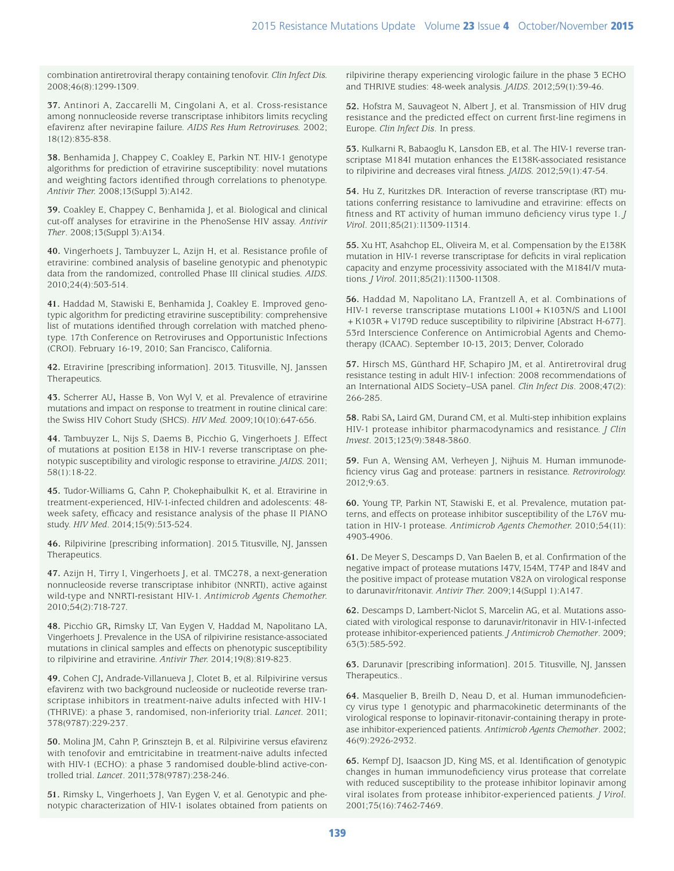combination antiretroviral therapy containing tenofovir. *Clin Infect Dis.* 2008;46(8):1299-1309.

**37.** Antinori A, Zaccarelli M, Cingolani A, et al. Cross-resistance among nonnucleoside reverse transcriptase inhibitors limits recycling efavirenz after nevirapine failure. *AIDS Res Hum Retroviruses.* 2002; 18(12):835-838.

**38.** Benhamida J, Chappey C, Coakley E, Parkin NT. HIV-1 genotype algorithms for prediction of etravirine susceptibility: novel mutations and weighting factors identified through correlations to phenotype. *Antivir Ther.* 2008;13(Suppl 3):A142.

**39.** Coakley E, Chappey C, Benhamida J, et al. Biological and clinical cut-off analyses for etravirine in the PhenoSense HIV assay. *Antivir Ther*. 2008;13(Suppl 3):A134.

**40.** Vingerhoets J, Tambuyzer L, Azijn H, et al. Resistance profile of etravirine: combined analysis of baseline genotypic and phenotypic data from the randomized, controlled Phase III clinical studies. *AIDS.* 2010;24(4):503-514.

**41.** Haddad M, Stawiski E, Benhamida J, Coakley E. Improved genotypic algorithm for predicting etravirine susceptibility: comprehensive list of mutations identified through correlation with matched phenotype. 17th Conference on Retroviruses and Opportunistic Infections (CROI). February 16-19, 2010; San Francisco, California.

**42.** Etravirine [prescribing information]. 2013. Titusville, NJ, Janssen Therapeutics*.*

**43.** Scherrer AU**,** Hasse B, Von Wyl V, et al. Prevalence of etravirine mutations and impact on response to treatment in routine clinical care: the Swiss HIV Cohort Study (SHCS). *HIV Med.* 2009;10(10):647-656.

**44.** Tambuyzer L, Nijs S, Daems B, Picchio G, Vingerhoets J. Effect of mutations at position E138 in HIV-1 reverse transcriptase on phenotypic susceptibility and virologic response to etravirine. *JAIDS.* 2011; 58(1):18-22.

**45.** Tudor-Williams G, Cahn P, Chokephaibulkit K, et al. Etravirine in treatment-experienced, HIV-1-infected children and adolescents: 48 week safety, efficacy and resistance analysis of the phase II PIANO study. *HIV Med*. 2014;15(9):513-524.

**46.** Rilpivirine [prescribing information]. 2015.Titusville, NJ, Janssen Therapeutics.

**47.** Azijn H, Tirry I, Vingerhoets J, et al. TMC278, a next-generation nonnucleoside reverse transcriptase inhibitor (NNRTI), active against wild-type and NNRTI-resistant HIV-1. *Antimicrob Agents Chemother.* 2010;54(2):718-727.

**48.** Picchio GR**,** Rimsky LT, Van Eygen V, Haddad M, Napolitano LA, Vingerhoets J. Prevalence in the USA of rilpivirine resistance-associated mutations in clinical samples and effects on phenotypic susceptibility to rilpivirine and etravirine. *Antivir Ther.* 2014;19(8):819-823.

**49.** Cohen CJ**,** Andrade-Villanueva J, Clotet B, et al. Rilpivirine versus efavirenz with two background nucleoside or nucleotide reverse transcriptase inhibitors in treatment-naive adults infected with HIV-1 (THRIVE): a phase 3, randomised, non-inferiority trial. *Lancet.* 2011; 378(9787):229-237.

**50.** Molina JM, Cahn P, Grinsztejn B, et al. Rilpivirine versus efavirenz with tenofovir and emtricitabine in treatment-naive adults infected with HIV-1 (ECHO): a phase 3 randomised double-blind active-controlled trial. *Lancet*. 2011;378(9787):238-246.

**51.** Rimsky L, Vingerhoets J, Van Eygen V, et al. Genotypic and phenotypic characterization of HIV-1 isolates obtained from patients on rilpivirine therapy experiencing virologic failure in the phase 3 ECHO and THRIVE studies: 48-week analysis. *JAIDS*. 2012;59(1):39-46.

**52.** Hofstra M, Sauvageot N, Albert J, et al. Transmission of HIV drug resistance and the predicted effect on current first-line regimens in Europe*. Clin Infect Dis*. In press.

**53.** Kulkarni R, Babaoglu K, Lansdon EB, et al. The HIV-1 reverse transcriptase M184I mutation enhances the E138K-associated resistance to rilpivirine and decreases viral fitness. *JAIDS.* 2012;59(1):47-54.

**54.** Hu Z, Kuritzkes DR. Interaction of reverse transcriptase (RT) mutations conferring resistance to lamivudine and etravirine: effects on fitness and RT activity of human immuno deficiency virus type 1. *J Virol*. 2011;85(21):11309-11314.

**55.** Xu HT, Asahchop EL, Oliveira M, et al. Compensation by the E138K mutation in HIV-1 reverse transcriptase for deficits in viral replication capacity and enzyme processivity associated with the M184I/V mutations. *J Virol.* 2011;85(21):11300-11308.

**56.** Haddad M, Napolitano LA, Frantzell A, et al. Combinations of HIV-1 reverse transcriptase mutations L100I + K103N/S and L100I + K103R + V179D reduce susceptibility to rilpivirine [Abstract H-677]. 53rd Interscience Conference on Antimicrobial Agents and Chemotherapy (ICAAC). September 10-13, 2013; Denver, Colorado

**57.** Hirsch MS, Günthard HF, Schapiro JM, et al. Antiretroviral drug resistance testing in adult HIV-1 infection: 2008 recommendations of an International AIDS Society–USA panel. *Clin Infect Dis*. 2008;47(2): 266-285.

**58.** Rabi SA**,** Laird GM, Durand CM, et al. Multi-step inhibition explains HIV-1 protease inhibitor pharmacodynamics and resistance. *J Clin Invest.* 2013;123(9):3848-3860.

**59.** Fun A, Wensing AM, Verheyen J, Nijhuis M. Human immunodeficiency virus Gag and protease: partners in resistance. *Retrovirology.*  2012;9:63.

**60.** Young TP, Parkin NT, Stawiski E, et al. Prevalence, mutation patterns, and effects on protease inhibitor susceptibility of the L76V mutation in HIV-1 protease. *Antimicrob Agents Chemother.* 2010;54(11): 4903-4906.

**61.** De Meyer S, Descamps D, Van Baelen B, et al. Confirmation of the negative impact of protease mutations I47V, I54M, T74P and I84V and the positive impact of protease mutation V82A on virological response to darunavir/ritonavir. *Antivir Ther.* 2009;14(Suppl 1):A147.

**62.** Descamps D, Lambert-Niclot S, Marcelin AG, et al. Mutations associated with virological response to darunavir/ritonavir in HIV-1-infected protease inhibitor-experienced patients. *J Antimicrob Chemother*. 2009; 63(3):585-592.

**63.** Darunavir [prescribing information]. 2015. Titusville, NJ, Janssen Therapeutics..

**64.** Masquelier B, Breilh D, Neau D, et al. Human immunodeficiency virus type 1 genotypic and pharmacokinetic determinants of the virological response to lopinavir-ritonavir-containing therapy in protease inhibitor-experienced patients. *Antimicrob Agents Chemother*. 2002; 46(9):2926-2932.

**65.** Kempf DJ, Isaacson JD, King MS, et al. Identification of genotypic changes in human immunodeficiency virus protease that correlate with reduced susceptibility to the protease inhibitor lopinavir among viral isolates from protease inhibitor-experienced patients. *J Virol.* 2001;75(16):7462-7469.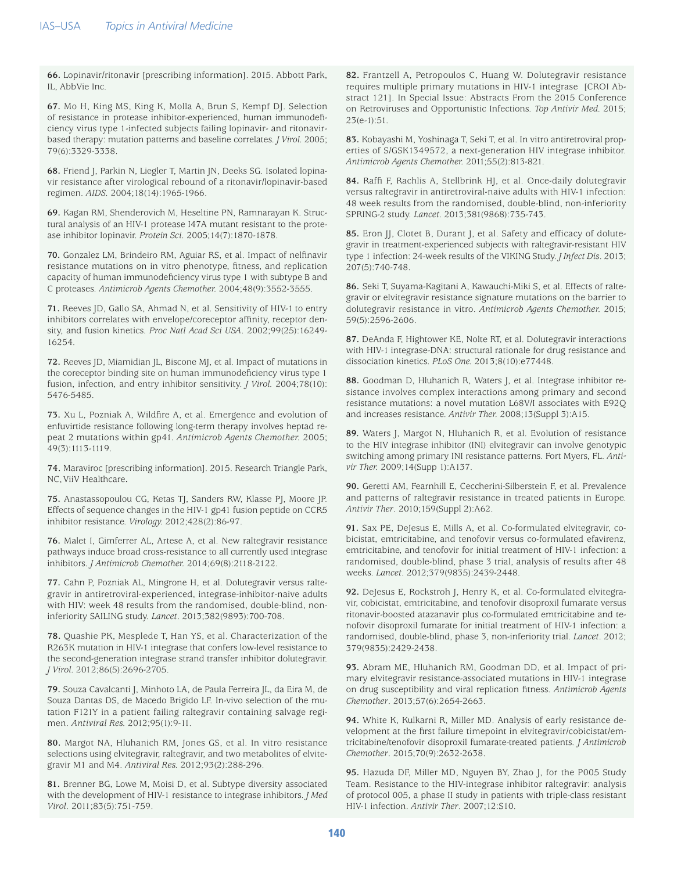**66.** Lopinavir/ritonavir [prescribing information]. 2015. Abbott Park, IL, AbbVie Inc.

**67.** Mo H, King MS, King K, Molla A, Brun S, Kempf DJ. Selection of resistance in protease inhibitor-experienced, human immunodeficiency virus type 1-infected subjects failing lopinavir- and ritonavirbased therapy: mutation patterns and baseline correlates. *J Virol.* 2005; 79(6):3329-3338.

**68.** Friend J, Parkin N, Liegler T, Martin JN, Deeks SG. Isolated lopinavir resistance after virological rebound of a ritonavir/lopinavir-based regimen. *AIDS.* 2004;18(14):1965-1966.

**69.** Kagan RM, Shenderovich M, Heseltine PN, Ramnarayan K. Structural analysis of an HIV-1 protease I47A mutant resistant to the protease inhibitor lopinavir. *Protein Sci*. 2005;14(7):1870-1878.

**70.** Gonzalez LM, Brindeiro RM, Aguiar RS, et al. Impact of nelfinavir resistance mutations on in vitro phenotype, fitness, and replication capacity of human immunodeficiency virus type 1 with subtype B and C proteases. *Antimicrob Agents Chemother.* 2004;48(9):3552-3555.

**71.** Reeves JD, Gallo SA, Ahmad N, et al. Sensitivity of HIV-1 to entry inhibitors correlates with envelope/coreceptor affinity, receptor density, and fusion kinetics. *Proc Natl Acad Sci USA*. 2002;99(25):16249- 16254.

**72.** Reeves JD, Miamidian JL, Biscone MJ, et al. Impact of mutations in the coreceptor binding site on human immunodeficiency virus type 1 fusion, infection, and entry inhibitor sensitivity. *J Virol.* 2004;78(10): 5476-5485.

**73.** Xu L, Pozniak A, Wildfire A, et al. Emergence and evolution of enfuvirtide resistance following long-term therapy involves heptad repeat 2 mutations within gp41. *Antimicrob Agents Chemother.* 2005; 49(3):1113-1119.

**74.** Maraviroc [prescribing information]. 2015. Research Triangle Park, NC, ViiV Healthcare**.**

**75.** Anastassopoulou CG, Ketas TJ, Sanders RW, Klasse PJ, Moore JP. Effects of sequence changes in the HIV-1 gp41 fusion peptide on CCR5 inhibitor resistance. *Virology.* 2012;428(2):86-97.

**76.** Malet I, Gimferrer AL, Artese A, et al. New raltegravir resistance pathways induce broad cross-resistance to all currently used integrase inhibitors. *J Antimicrob Chemother.* 2014;69(8):2118-2122.

**77.** Cahn P, Pozniak AL, Mingrone H, et al. Dolutegravir versus raltegravir in antiretroviral-experienced, integrase-inhibitor-naive adults with HIV: week 48 results from the randomised, double-blind, noninferiority SAILING study. *Lancet*. 2013;382(9893):700-708.

**78.** Quashie PK, Mesplede T, Han YS, et al. Characterization of the R263K mutation in HIV-1 integrase that confers low-level resistance to the second-generation integrase strand transfer inhibitor dolutegravir. *J Virol.* 2012;86(5):2696-2705.

**79.** Souza Cavalcanti J, Minhoto LA, de Paula Ferreira JL, da Eira M, de Souza Dantas DS, de Macedo Brigido LF. In-vivo selection of the mutation F121Y in a patient failing raltegravir containing salvage regimen. *Antiviral Res.* 2012;95(1):9-11.

**80.** Margot NA, Hluhanich RM, Jones GS, et al. In vitro resistance selections using elvitegravir, raltegravir, and two metabolites of elvitegravir M1 and M4. *Antiviral Res.* 2012;93(2):288-296.

**81.** Brenner BG, Lowe M, Moisi D, et al. Subtype diversity associated with the development of HIV-1 resistance to integrase inhibitors. *J Med Virol*. 2011;83(5):751-759.

**82.** Frantzell A, Petropoulos C, Huang W. Dolutegravir resistance requires multiple primary mutations in HIV-1 integrase [CROI Abstract 121]. In Special Issue: Abstracts From the 2015 Conference on Retroviruses and Opportunistic Infections. *Top Antivir Med.* 2015; 23(e-1):51.

**83.** Kobayashi M, Yoshinaga T, Seki T, et al. In vitro antiretroviral properties of S/GSK1349572, a next-generation HIV integrase inhibitor. *Antimicrob Agents Chemother.* 2011;55(2):813-821.

**84.** Raffi F, Rachlis A, Stellbrink HJ, et al. Once-daily dolutegravir versus raltegravir in antiretroviral-naive adults with HIV-1 infection: 48 week results from the randomised, double-blind, non-inferiority SPRING-2 study. *Lancet.* 2013;381(9868):735-743.

**85.** Eron JJ, Clotet B, Durant J, et al. Safety and efficacy of dolutegravir in treatment-experienced subjects with raltegravir-resistant HIV type 1 infection: 24-week results of the VIKING Study. *J Infect Dis*. 2013; 207(5):740-748.

**86.** Seki T, Suyama-Kagitani A, Kawauchi-Miki S, et al. Effects of raltegravir or elvitegravir resistance signature mutations on the barrier to dolutegravir resistance in vitro. *Antimicrob Agents Chemother.* 2015; 59(5):2596-2606.

**87.** DeAnda F, Hightower KE, Nolte RT, et al. Dolutegravir interactions with HIV-1 integrase-DNA: structural rationale for drug resistance and dissociation kinetics. *PLoS One.* 2013;8(10):e77448.

**88.** Goodman D, Hluhanich R, Waters J, et al. Integrase inhibitor resistance involves complex interactions among primary and second resistance mutations: a novel mutation L68V/I associates with E92Q and increases resistance. *Antivir Ther.* 2008;13(Suppl 3):A15.

**89.** Waters J, Margot N, Hluhanich R, et al. Evolution of resistance to the HIV integrase inhibitor (INI) elvitegravir can involve genotypic switching among primary INI resistance patterns. Fort Myers, FL. *Antivir Ther.* 2009;14(Supp 1):A137.

**90.** Geretti AM, Fearnhill E, Ceccherini-Silberstein F, et al. Prevalence and patterns of raltegravir resistance in treated patients in Europe. *Antivir Ther*. 2010;159(Suppl 2):A62.

**91.** Sax PE, DeJesus E, Mills A, et al. Co-formulated elvitegravir, cobicistat, emtricitabine, and tenofovir versus co-formulated efavirenz, emtricitabine, and tenofovir for initial treatment of HIV-1 infection: a randomised, double-blind, phase 3 trial, analysis of results after 48 weeks. *Lancet*. 2012;379(9835):2439-2448.

**92.** DeJesus E, Rockstroh J, Henry K, et al. Co-formulated elvitegravir, cobicistat, emtricitabine, and tenofovir disoproxil fumarate versus ritonavir-boosted atazanavir plus co-formulated emtricitabine and tenofovir disoproxil fumarate for initial treatment of HIV-1 infection: a randomised, double-blind, phase 3, non-inferiority trial. *Lancet*. 2012; 379(9835):2429-2438.

**93.** Abram ME, Hluhanich RM, Goodman DD, et al. Impact of primary elvitegravir resistance-associated mutations in HIV-1 integrase on drug susceptibility and viral replication fitness. *Antimicrob Agents Chemother*. 2013;57(6):2654-2663.

**94.** White K, Kulkarni R, Miller MD. Analysis of early resistance development at the first failure timepoint in elvitegravir/cobicistat/emtricitabine/tenofovir disoproxil fumarate-treated patients. *J Antimicrob Chemother*. 2015;70(9):2632-2638.

**95.** Hazuda DF, Miller MD, Nguyen BY, Zhao J, for the P005 Study Team. Resistance to the HIV-integrase inhibitor raltegravir: analysis of protocol 005, a phase II study in patients with triple-class resistant HIV-1 infection. *Antivir Ther*. 2007;12:S10.